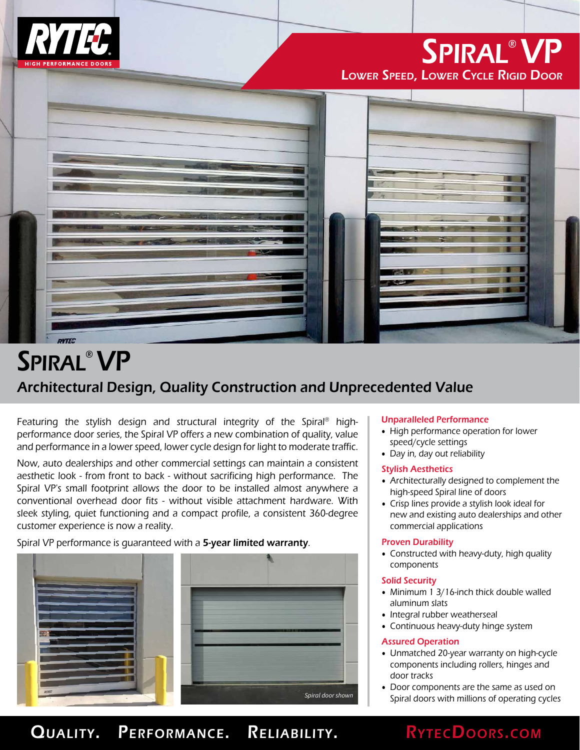

# Spiral® VP Lower Speed, Lower Cycle Rigid Door



# Architectural Design, Quality Construction and Unprecedented Value Spiral® VP

Featuring the stylish design and structural integrity of the Spiral® highperformance door series, the Spiral VP offers a new combination of quality, value and performance in a lower speed, lower cycle design for light to moderate traffic.

Now, auto dealerships and other commercial settings can maintain a consistent aesthetic look - from front to back - without sacrificing high performance. The Spiral VP's small footprint allows the door to be installed almost anywhere a conventional overhead door fits - without visible attachment hardware. With sleek styling, quiet functioning and a compact profile, a consistent 360-degree customer experience is now a reality.

Spiral VP performance is quaranteed with a 5-year limited warranty.



## Unparalleled Performance

- High performance operation for lower speed/cycle settings
- Day in, day out reliability

## Stylish Aesthetics

- Architecturally designed to complement the high-speed Spiral line of doors
- Crisp lines provide a stylish look ideal for new and existing auto dealerships and other commercial applications

### Proven Durability

• Constructed with heavy-duty, high quality components

### Solid Security

- Minimum 1 3/16-inch thick double walled aluminum slats
- Integral rubber weatherseal
- Continuous heavy-duty hinge system

### Assured Operation

- Unmatched 20-year warranty on high-cycle components including rollers, hinges and door tracks
- Door components are the same as used on Spiral doors with millions of operating cycles

## QUALITY. PERFORMANCE. RELIABILITY. RYTECDOORS.COM